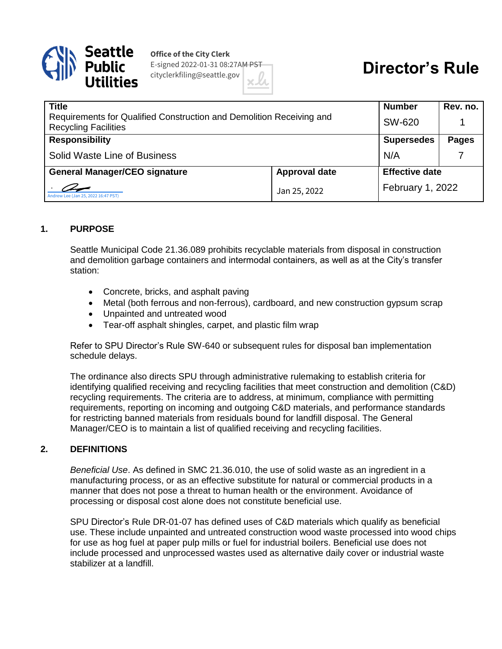

**Office of the City Clerk** E-signed 2022-01-31 08:27AM PST cityclerkfiling@seattle.gov

# **Director's Rule**

| <b>Title</b>                                                                                        |                      | <b>Number</b>         | Rev. no.     |
|-----------------------------------------------------------------------------------------------------|----------------------|-----------------------|--------------|
| Requirements for Qualified Construction and Demolition Receiving and<br><b>Recycling Facilities</b> |                      | SW-620                |              |
| <b>Responsibility</b>                                                                               |                      | <b>Supersedes</b>     | <b>Pages</b> |
| <b>Solid Waste Line of Business</b>                                                                 |                      | N/A                   |              |
| <b>General Manager/CEO signature</b>                                                                | <b>Approval date</b> | <b>Effective date</b> |              |
| Andrew Lee (Jan 25, 2022 16:47 PST)                                                                 | Jan 25, 2022         | February 1, 2022      |              |

### **1. PURPOSE**

Seattle Municipal Code 21.36.089 prohibits recyclable materials from disposal in construction and demolition garbage containers and intermodal containers, as well as at the City's transfer station:

- Concrete, bricks, and asphalt paving
- Metal (both ferrous and non-ferrous), cardboard, and new construction gypsum scrap
- Unpainted and untreated wood
- Tear-off asphalt shingles, carpet, and plastic film wrap

Refer to SPU Director's Rule SW-640 or subsequent rules for disposal ban implementation schedule delays.

The ordinance also directs SPU through administrative rulemaking to establish criteria for identifying qualified receiving and recycling facilities that meet construction and demolition (C&D) recycling requirements. The criteria are to address, at minimum, compliance with permitting requirements, reporting on incoming and outgoing C&D materials, and performance standards for restricting banned materials from residuals bound for landfill disposal. The General Manager/CEO is to maintain a list of qualified receiving and recycling facilities.

#### **2. DEFINITIONS**

*Beneficial Use*. As defined in SMC 21.36.010, the use of solid waste as an ingredient in a manufacturing process, or as an effective substitute for natural or commercial products in a manner that does not pose a threat to human health or the environment. Avoidance of processing or disposal cost alone does not constitute beneficial use.

SPU Director's Rule DR-01-07 has defined uses of C&D materials which qualify as beneficial use. These include unpainted and untreated construction wood waste processed into wood chips for use as hog fuel at paper pulp mills or fuel for industrial boilers. Beneficial use does not include processed and unprocessed wastes used as alternative daily cover or industrial waste stabilizer at a landfill.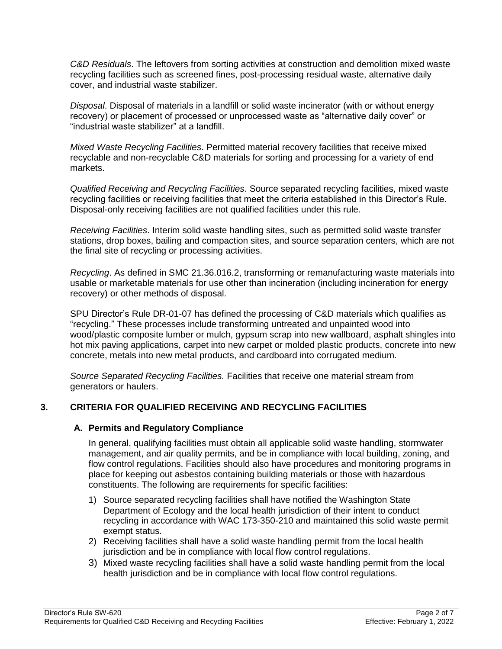*C&D Residuals*. The leftovers from sorting activities at construction and demolition mixed waste recycling facilities such as screened fines, post-processing residual waste, alternative daily cover, and industrial waste stabilizer.

*Disposal*. Disposal of materials in a landfill or solid waste incinerator (with or without energy recovery) or placement of processed or unprocessed waste as "alternative daily cover" or "industrial waste stabilizer" at a landfill.

*Mixed Waste Recycling Facilities*. Permitted material recovery facilities that receive mixed recyclable and non-recyclable C&D materials for sorting and processing for a variety of end markets.

*Qualified Receiving and Recycling Facilities*. Source separated recycling facilities, mixed waste recycling facilities or receiving facilities that meet the criteria established in this Director's Rule. Disposal-only receiving facilities are not qualified facilities under this rule.

*Receiving Facilities*. Interim solid waste handling sites, such as permitted solid waste transfer stations, drop boxes, bailing and compaction sites, and source separation centers, which are not the final site of recycling or processing activities.

*Recycling*. As defined in SMC 21.36.016.2, transforming or remanufacturing waste materials into usable or marketable materials for use other than incineration (including incineration for energy recovery) or other methods of disposal.

SPU Director's Rule DR-01-07 has defined the processing of C&D materials which qualifies as "recycling." These processes include transforming untreated and unpainted wood into wood/plastic composite lumber or mulch, gypsum scrap into new wallboard, asphalt shingles into hot mix paving applications, carpet into new carpet or molded plastic products, concrete into new concrete, metals into new metal products, and cardboard into corrugated medium.

*Source Separated Recycling Facilities.* Facilities that receive one material stream from generators or haulers.

## **3. CRITERIA FOR QUALIFIED RECEIVING AND RECYCLING FACILITIES**

## **A. Permits and Regulatory Compliance**

In general, qualifying facilities must obtain all applicable solid waste handling, stormwater management, and air quality permits, and be in compliance with local building, zoning, and flow control regulations. Facilities should also have procedures and monitoring programs in place for keeping out asbestos containing building materials or those with hazardous constituents. The following are requirements for specific facilities:

- 1) Source separated recycling facilities shall have notified the Washington State Department of Ecology and the local health jurisdiction of their intent to conduct recycling in accordance with WAC 173-350-210 and maintained this solid waste permit exempt status.
- 2) Receiving facilities shall have a solid waste handling permit from the local health jurisdiction and be in compliance with local flow control regulations.
- 3) Mixed waste recycling facilities shall have a solid waste handling permit from the local health jurisdiction and be in compliance with local flow control regulations.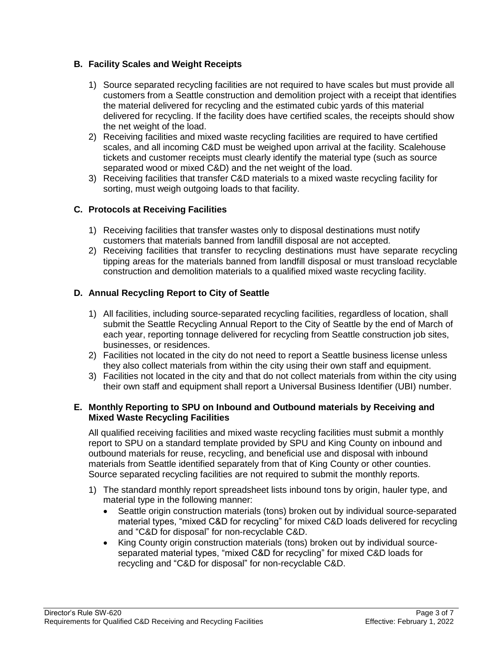## **B. Facility Scales and Weight Receipts**

- 1) Source separated recycling facilities are not required to have scales but must provide all customers from a Seattle construction and demolition project with a receipt that identifies the material delivered for recycling and the estimated cubic yards of this material delivered for recycling. If the facility does have certified scales, the receipts should show the net weight of the load.
- 2) Receiving facilities and mixed waste recycling facilities are required to have certified scales, and all incoming C&D must be weighed upon arrival at the facility. Scalehouse tickets and customer receipts must clearly identify the material type (such as source separated wood or mixed C&D) and the net weight of the load.
- 3) Receiving facilities that transfer C&D materials to a mixed waste recycling facility for sorting, must weigh outgoing loads to that facility.

## **C. Protocols at Receiving Facilities**

- 1) Receiving facilities that transfer wastes only to disposal destinations must notify customers that materials banned from landfill disposal are not accepted.
- 2) Receiving facilities that transfer to recycling destinations must have separate recycling tipping areas for the materials banned from landfill disposal or must transload recyclable construction and demolition materials to a qualified mixed waste recycling facility.

## **D. Annual Recycling Report to City of Seattle**

- 1) All facilities, including source-separated recycling facilities, regardless of location, shall submit the Seattle Recycling Annual Report to the City of Seattle by the end of March of each year, reporting tonnage delivered for recycling from Seattle construction job sites, businesses, or residences.
- 2) Facilities not located in the city do not need to report a Seattle business license unless they also collect materials from within the city using their own staff and equipment.
- 3) Facilities not located in the city and that do not collect materials from within the city using their own staff and equipment shall report a Universal Business Identifier (UBI) number.

### **E. Monthly Reporting to SPU on Inbound and Outbound materials by Receiving and Mixed Waste Recycling Facilities**

All qualified receiving facilities and mixed waste recycling facilities must submit a monthly report to SPU on a standard template provided by SPU and King County on inbound and outbound materials for reuse, recycling, and beneficial use and disposal with inbound materials from Seattle identified separately from that of King County or other counties. Source separated recycling facilities are not required to submit the monthly reports.

- 1) The standard monthly report spreadsheet lists inbound tons by origin, hauler type, and material type in the following manner:
	- Seattle origin construction materials (tons) broken out by individual source-separated material types, "mixed C&D for recycling" for mixed C&D loads delivered for recycling and "C&D for disposal" for non-recyclable C&D.
	- King County origin construction materials (tons) broken out by individual sourceseparated material types, "mixed C&D for recycling" for mixed C&D loads for recycling and "C&D for disposal" for non-recyclable C&D.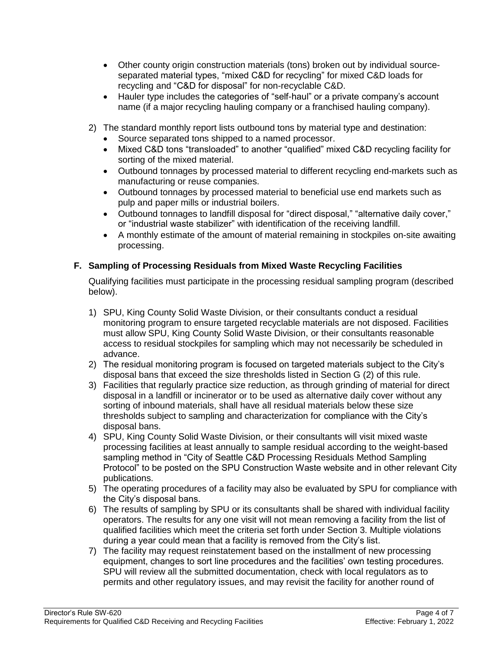- Other county origin construction materials (tons) broken out by individual sourceseparated material types, "mixed C&D for recycling" for mixed C&D loads for recycling and "C&D for disposal" for non-recyclable C&D.
- Hauler type includes the categories of "self-haul" or a private company's account name (if a major recycling hauling company or a franchised hauling company).
- 2) The standard monthly report lists outbound tons by material type and destination:
	- Source separated tons shipped to a named processor.
	- Mixed C&D tons "transloaded" to another "qualified" mixed C&D recycling facility for sorting of the mixed material.
	- Outbound tonnages by processed material to different recycling end-markets such as manufacturing or reuse companies.
	- Outbound tonnages by processed material to beneficial use end markets such as pulp and paper mills or industrial boilers.
	- Outbound tonnages to landfill disposal for "direct disposal," "alternative daily cover," or "industrial waste stabilizer" with identification of the receiving landfill.
	- A monthly estimate of the amount of material remaining in stockpiles on-site awaiting processing.

## **F. Sampling of Processing Residuals from Mixed Waste Recycling Facilities**

Qualifying facilities must participate in the processing residual sampling program (described below).

- 1) SPU, King County Solid Waste Division, or their consultants conduct a residual monitoring program to ensure targeted recyclable materials are not disposed. Facilities must allow SPU, King County Solid Waste Division, or their consultants reasonable access to residual stockpiles for sampling which may not necessarily be scheduled in advance.
- 2) The residual monitoring program is focused on targeted materials subject to the City's disposal bans that exceed the size thresholds listed in Section G (2) of this rule.
- 3) Facilities that regularly practice size reduction, as through grinding of material for direct disposal in a landfill or incinerator or to be used as alternative daily cover without any sorting of inbound materials, shall have all residual materials below these size thresholds subject to sampling and characterization for compliance with the City's disposal bans.
- 4) SPU, King County Solid Waste Division, or their consultants will visit mixed waste processing facilities at least annually to sample residual according to the weight-based sampling method in "City of Seattle C&D Processing Residuals Method Sampling Protocol" to be posted on the SPU Construction Waste website and in other relevant City publications.
- 5) The operating procedures of a facility may also be evaluated by SPU for compliance with the City's disposal bans.
- 6) The results of sampling by SPU or its consultants shall be shared with individual facility operators. The results for any one visit will not mean removing a facility from the list of qualified facilities which meet the criteria set forth under Section 3. Multiple violations during a year could mean that a facility is removed from the City's list.
- 7) The facility may request reinstatement based on the installment of new processing equipment, changes to sort line procedures and the facilities' own testing procedures. SPU will review all the submitted documentation, check with local regulators as to permits and other regulatory issues, and may revisit the facility for another round of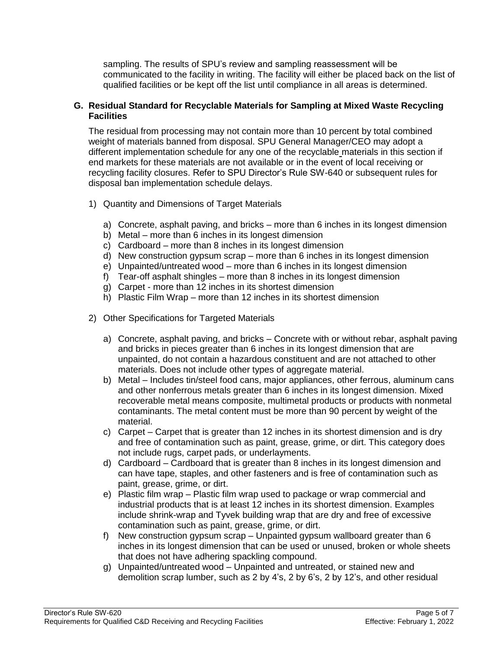sampling. The results of SPU's review and sampling reassessment will be communicated to the facility in writing. The facility will either be placed back on the list of qualified facilities or be kept off the list until compliance in all areas is determined.

#### **G. Residual Standard for Recyclable Materials for Sampling at Mixed Waste Recycling Facilities**

The residual from processing may not contain more than 10 percent by total combined weight of materials banned from disposal. SPU General Manager/CEO may adopt a different implementation schedule for any one of the recyclable materials in this section if end markets for these materials are not available or in the event of local receiving or recycling facility closures. Refer to SPU Director's Rule SW-640 or subsequent rules for disposal ban implementation schedule delays.

- 1) Quantity and Dimensions of Target Materials
	- a) Concrete, asphalt paving, and bricks more than 6 inches in its longest dimension
	- b) Metal more than 6 inches in its longest dimension
	- c) Cardboard more than 8 inches in its longest dimension
	- d) New construction gypsum scrap more than 6 inches in its longest dimension
	- e) Unpainted/untreated wood more than 6 inches in its longest dimension
	- f) Tear-off asphalt shingles more than 8 inches in its longest dimension
	- g) Carpet more than 12 inches in its shortest dimension
	- h) Plastic Film Wrap more than 12 inches in its shortest dimension
- 2) Other Specifications for Targeted Materials
	- a) Concrete, asphalt paving, and bricks Concrete with or without rebar, asphalt paving and bricks in pieces greater than 6 inches in its longest dimension that are unpainted, do not contain a hazardous constituent and are not attached to other materials. Does not include other types of aggregate material.
	- b) Metal Includes tin/steel food cans, major appliances, other ferrous, aluminum cans and other nonferrous metals greater than 6 inches in its longest dimension. Mixed recoverable metal means composite, multimetal products or products with nonmetal contaminants. The metal content must be more than 90 percent by weight of the material.
	- c) Carpet Carpet that is greater than 12 inches in its shortest dimension and is dry and free of contamination such as paint, grease, grime, or dirt. This category does not include rugs, carpet pads, or underlayments.
	- d) Cardboard Cardboard that is greater than 8 inches in its longest dimension and can have tape, staples, and other fasteners and is free of contamination such as paint, grease, grime, or dirt.
	- e) Plastic film wrap Plastic film wrap used to package or wrap commercial and industrial products that is at least 12 inches in its shortest dimension. Examples include shrink-wrap and Tyvek building wrap that are dry and free of excessive contamination such as paint, grease, grime, or dirt.
	- f) New construction gypsum scrap Unpainted gypsum wallboard greater than 6 inches in its longest dimension that can be used or unused, broken or whole sheets that does not have adhering spackling compound.
	- g) Unpainted/untreated wood Unpainted and untreated, or stained new and demolition scrap lumber, such as 2 by 4's, 2 by 6's, 2 by 12's, and other residual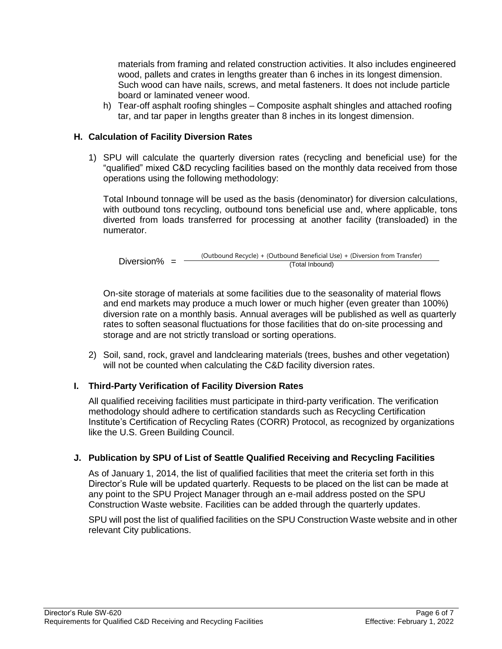materials from framing and related construction activities. It also includes engineered wood, pallets and crates in lengths greater than 6 inches in its longest dimension. Such wood can have nails, screws, and metal fasteners. It does not include particle board or laminated veneer wood.

h) Tear-off asphalt roofing shingles – Composite asphalt shingles and attached roofing tar, and tar paper in lengths greater than 8 inches in its longest dimension.

### **H. Calculation of Facility Diversion Rates**

1) SPU will calculate the quarterly diversion rates (recycling and beneficial use) for the "qualified" mixed C&D recycling facilities based on the monthly data received from those operations using the following methodology:

Total Inbound tonnage will be used as the basis (denominator) for diversion calculations, with outbound tons recycling, outbound tons beneficial use and, where applicable, tons diverted from loads transferred for processing at another facility (transloaded) in the numerator.

Diversion%  $=$ (Outbound Recycle) + (Outbound Beneficial Use) + (Diversion from Transfer) (Total Inbound)

On-site storage of materials at some facilities due to the seasonality of material flows and end markets may produce a much lower or much higher (even greater than 100%) diversion rate on a monthly basis. Annual averages will be published as well as quarterly rates to soften seasonal fluctuations for those facilities that do on-site processing and storage and are not strictly transload or sorting operations.

2) Soil, sand, rock, gravel and landclearing materials (trees, bushes and other vegetation) will not be counted when calculating the C&D facility diversion rates.

## **I. Third-Party Verification of Facility Diversion Rates**

All qualified receiving facilities must participate in third-party verification. The verification methodology should adhere to certification standards such as Recycling Certification Institute's Certification of Recycling Rates (CORR) Protocol, as recognized by organizations like the U.S. Green Building Council.

#### **J. Publication by SPU of List of Seattle Qualified Receiving and Recycling Facilities**

As of January 1, 2014, the list of qualified facilities that meet the criteria set forth in this Director's Rule will be updated quarterly. Requests to be placed on the list can be made at any point to the SPU Project Manager through an e-mail address posted on the SPU Construction Waste website. Facilities can be added through the quarterly updates.

SPU will post the list of qualified facilities on the SPU Construction Waste website and in other relevant City publications.